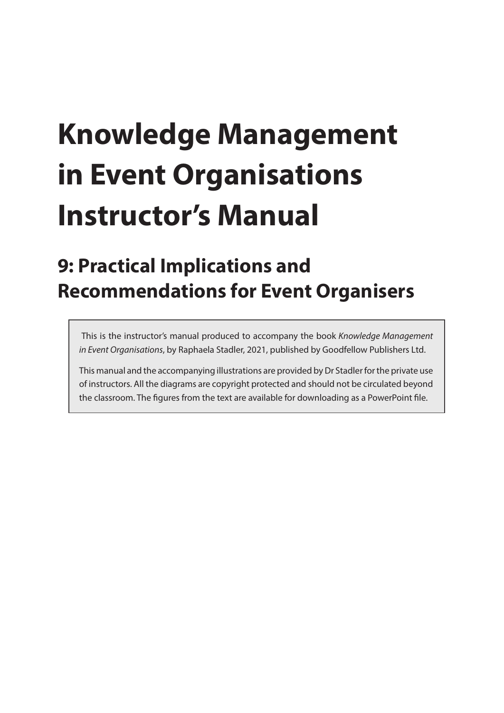# **Knowledge Management in Event Organisations Instructor's Manual**

# **9: Practical Implications and Recommendations for Event Organisers**

 This is the instructor's manual produced to accompany the book *Knowledge Management in Event Organisations*, by Raphaela Stadler, 2021, published by Goodfellow Publishers Ltd.

This manual and the accompanying illustrations are provided by Dr Stadler for the private use of instructors. All the diagrams are copyright protected and should not be circulated beyond the classroom. The figures from the text are available for downloading as a PowerPoint file.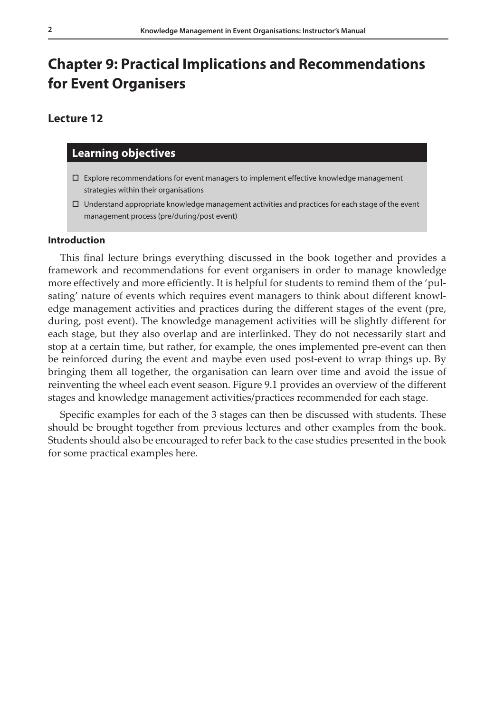# **Chapter 9: Practical Implications and Recommendations for Event Organisers**

## **Lecture 12**

### **Learning objectives**

- $\square$  Explore recommendations for event managers to implement effective knowledge management strategies within their organisations
- $\Box$  Understand appropriate knowledge management activities and practices for each stage of the event management process (pre/during/post event)

#### **Introduction**

This final lecture brings everything discussed in the book together and provides a framework and recommendations for event organisers in order to manage knowledge more effectively and more efficiently. It is helpful for students to remind them of the 'pulsating' nature of events which requires event managers to think about different knowledge management activities and practices during the different stages of the event (pre, during, post event). The knowledge management activities will be slightly different for each stage, but they also overlap and are interlinked. They do not necessarily start and stop at a certain time, but rather, for example, the ones implemented pre-event can then be reinforced during the event and maybe even used post-event to wrap things up. By bringing them all together, the organisation can learn over time and avoid the issue of reinventing the wheel each event season. Figure 9.1 provides an overview of the different stages and knowledge management activities/practices recommended for each stage.

Specific examples for each of the 3 stages can then be discussed with students. These should be brought together from previous lectures and other examples from the book. Students should also be encouraged to refer back to the case studies presented in the book for some practical examples here.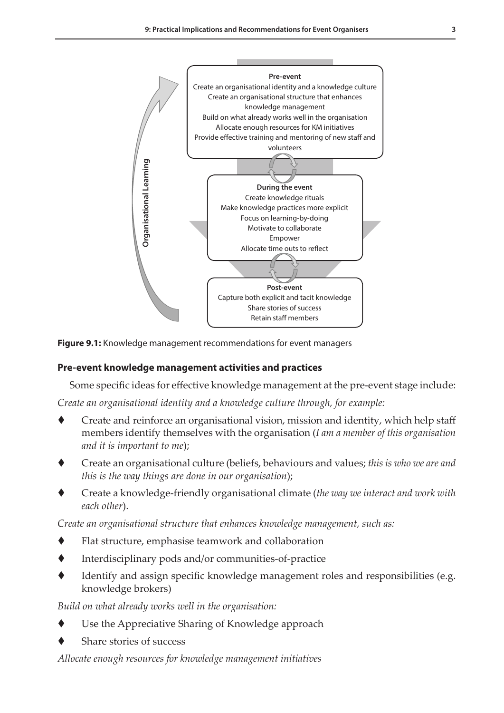**1: Introduction, Concepts and Definitions 173**



**Figure 9.1:** Knowledge management recommendations for event managers

#### **Pre-event knowledge management activities and practices**

Some specific ideas for effective knowledge management at the pre-event stage include:

*Create an organisational identity and a knowledge culture through, for example:*

- Create and reinforce an organisational vision, mission and identity, which help staff members identify themselves with the organisation (*I am a member of this organisation and it is important to me*);
- Create an organisational culture (beliefs, behaviours and values; *this is who we are and this is the way things are done in our organisation*);
- Create a knowledge-friendly organisational climate (*the way we interact and work with each other*).

*Create an organisational structure that enhances knowledge management, such as:*

- Flat structure, emphasise teamwork and collaboration
- Interdisciplinary pods and/or communities-of-practice
- Identify and assign specific knowledge management roles and responsibilities (e.g. knowledge brokers)

*Build on what already works well in the organisation:*

- Use the Appreciative Sharing of Knowledge approach
- Share stories of success

*Allocate enough resources for knowledge management initiatives*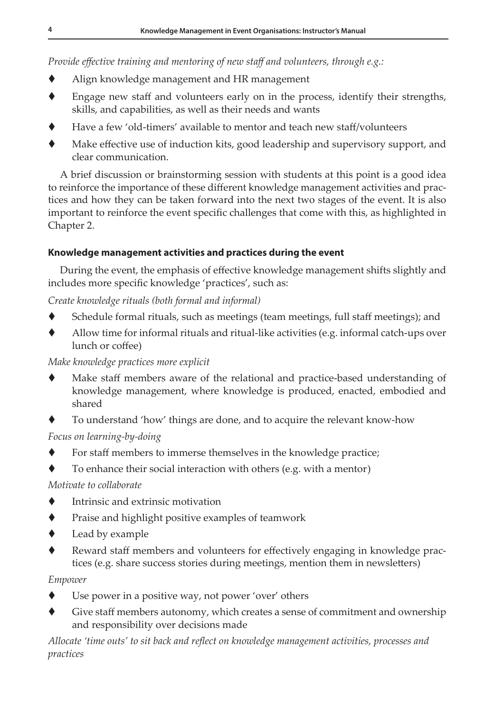*Provide effective training and mentoring of new staff and volunteers, through e.g.:*

- Align knowledge management and HR management
- Engage new staff and volunteers early on in the process, identify their strengths, skills, and capabilities, as well as their needs and wants
- Have a few 'old-timers' available to mentor and teach new staff/volunteers
- Make effective use of induction kits, good leadership and supervisory support, and clear communication.

A brief discussion or brainstorming session with students at this point is a good idea to reinforce the importance of these different knowledge management activities and practices and how they can be taken forward into the next two stages of the event. It is also important to reinforce the event specific challenges that come with this, as highlighted in Chapter 2.

# **Knowledge management activities and practices during the event**

During the event, the emphasis of effective knowledge management shifts slightly and includes more specific knowledge 'practices', such as:

# *Create knowledge rituals (both formal and informal)*

- Schedule formal rituals, such as meetings (team meetings, full staff meetings); and
- Allow time for informal rituals and ritual-like activities (e.g. informal catch-ups over lunch or coffee)

# *Make knowledge practices more explicit*

- Make staff members aware of the relational and practice-based understanding of knowledge management, where knowledge is produced, enacted, embodied and shared
- To understand 'how' things are done, and to acquire the relevant know-how

# *Focus on learning-by-doing*

- For staff members to immerse themselves in the knowledge practice;
- To enhance their social interaction with others (e.g. with a mentor)

# *Motivate to collaborate*

- Intrinsic and extrinsic motivation
- **The Praise and highlight positive examples of teamwork**
- Lead by example
- Reward staff members and volunteers for effectively engaging in knowledge practices (e.g. share success stories during meetings, mention them in newsletters)

# *Empower*

- Use power in a positive way, not power 'over' others
- Give staff members autonomy, which creates a sense of commitment and ownership and responsibility over decisions made

*Allocate 'time outs' to sit back and reflect on knowledge management activities, processes and practices*